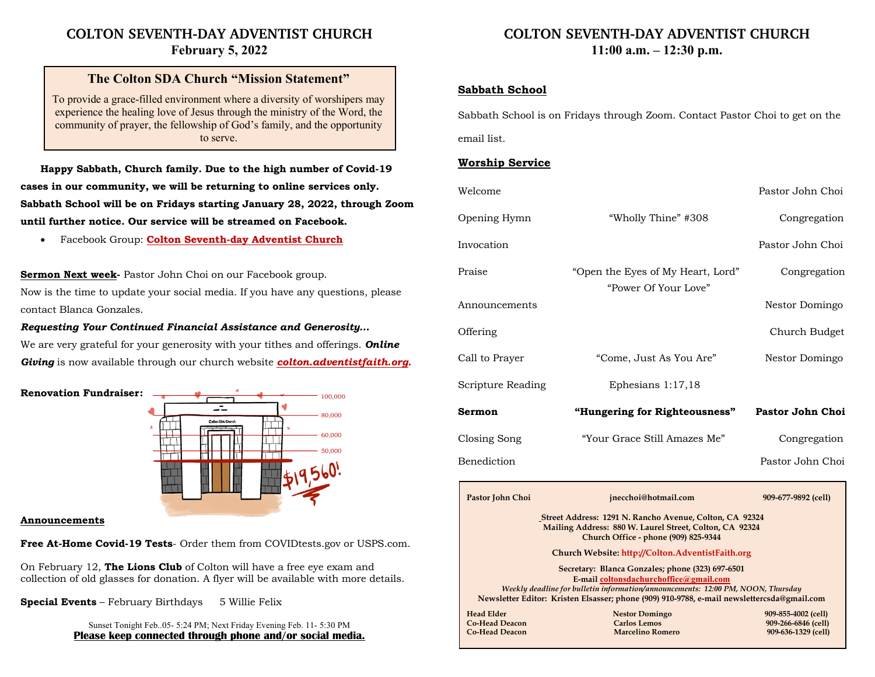# **COLTON SEVENTH-DAY ADVENTIST CHURCH February 5, 2022**

## **The Colton SDA Church "Mission Statement"**

To provide a grace-filled environment where a diversity of worshipers may experience the healing love of Jesus through the ministry of the Word, the community of prayer, the fellowship of God's family, and the opportunity to serve.

**Happy Sabbath, Church family. Due to the high number of Covid-19 cases in our community, we will be returning to online services only. Sabbath School will be on Fridays starting January 28, 2022, through Zoom until further notice. Our service will be streamed on Facebook.**

• Facebook Group: **Colton Seventh-day Adventist Church**

**Sermon Next week-** Pastor John Choi on our Facebook group. Now is the time to update your social media. If you have any questions, please contact Blanca Gonzales.

*Requesting Your Continued Financial Assistance and Generosity…* We are very grateful for your generosity with your tithes and offerings. *Online Giving* is now available through our church website *colton.adventistfaith.org***.**



#### **Announcements**

**Free At-Home Covid-19 Tests**- Order them from COVIDtests.gov or USPS.com.

On February 12, **The Lions Club** of Colton will have a free eye exam and collection of old glasses for donation. A flyer will be available with more details.

**Special Events** – February Birthdays 5 Willie Felix

Sunset Tonight Feb..05- 5:24 PM; Next Friday Evening Feb. 11- 5:30 PM **Please keep connected through phone and/or social media.**

# **COLTON SEVENTH-DAY ADVENTIST CHURCH 11:00 a.m. – 12:30 p.m.**

# **Sabbath School**

Sabbath School is on Fridays through Zoom. Contact Pastor Choi to get on the email list.

# **Worship Service**

| Welcome                                                                                                                                                    |                                                                                                                                                                                                                                                                                                                        | Pastor John Choi    |  |
|------------------------------------------------------------------------------------------------------------------------------------------------------------|------------------------------------------------------------------------------------------------------------------------------------------------------------------------------------------------------------------------------------------------------------------------------------------------------------------------|---------------------|--|
| Opening Hymn                                                                                                                                               | "Wholly Thine" #308                                                                                                                                                                                                                                                                                                    | Congregation        |  |
| Invocation                                                                                                                                                 |                                                                                                                                                                                                                                                                                                                        | Pastor John Choi    |  |
| Praise                                                                                                                                                     | "Open the Eyes of My Heart, Lord"<br>"Power Of Your Love"                                                                                                                                                                                                                                                              | Congregation        |  |
| Announcements                                                                                                                                              |                                                                                                                                                                                                                                                                                                                        | Nestor Domingo      |  |
| Offering                                                                                                                                                   |                                                                                                                                                                                                                                                                                                                        | Church Budget       |  |
| Call to Prayer                                                                                                                                             | "Come, Just As You Are"                                                                                                                                                                                                                                                                                                | Nestor Domingo      |  |
| Scripture Reading                                                                                                                                          | Ephesians $1:17,18$                                                                                                                                                                                                                                                                                                    |                     |  |
| Sermon                                                                                                                                                     | "Hungering for Righteousness"                                                                                                                                                                                                                                                                                          | Pastor John Choi    |  |
| Closing Song                                                                                                                                               | "Your Grace Still Amazes Me"                                                                                                                                                                                                                                                                                           | Congregation        |  |
| Benediction                                                                                                                                                |                                                                                                                                                                                                                                                                                                                        | Pastor John Choi    |  |
| Pastor John Choi                                                                                                                                           | jnecchoi@hotmail.com                                                                                                                                                                                                                                                                                                   | 909-677-9892 (cell) |  |
| Street Address: 1291 N. Rancho Avenue, Colton, CA 92324<br>Mailing Address: 880 W. Laurel Street, Colton, CA 92324<br>Church Office - phone (909) 825-9344 |                                                                                                                                                                                                                                                                                                                        |                     |  |
| Church Website: http://Colton.AdventistFaith.org                                                                                                           |                                                                                                                                                                                                                                                                                                                        |                     |  |
|                                                                                                                                                            | $\frac{1}{2}$ D1 $\frac{1}{2}$ 1 $\frac{1}{2}$ $\frac{1}{2}$ $\frac{1}{2}$ $\frac{1}{2}$ $\frac{1}{2}$ $\frac{1}{2}$ $\frac{1}{2}$ $\frac{1}{2}$ $\frac{1}{2}$ $\frac{1}{2}$ $\frac{1}{2}$ $\frac{1}{2}$ $\frac{1}{2}$ $\frac{1}{2}$ $\frac{1}{2}$ $\frac{1}{2}$ $\frac{1}{2}$ $\frac{1}{2}$ $\frac{1}{2}$ $\frac{1}{$ |                     |  |

**Secretary: Blanca Gonzales; phone (323) 697-6501 E-mail coltonsdachurchoffice@gmail.com** *Weekly deadline for bulletin information/announcements: 12:00 PM, NOON, Thursday*

**Newsletter Editor: Kristen Elsasser; phone (909) 910-9788, e-mail newslettercsda@gmail.com**

**Head Elder Nestor Domingo 909-855-4002 (cell) Co-Head Deacon Carlos Lemos 909-266-6846 (cell) Co-Head Deacon Marcelino Romero 909-636-1329 (cell)**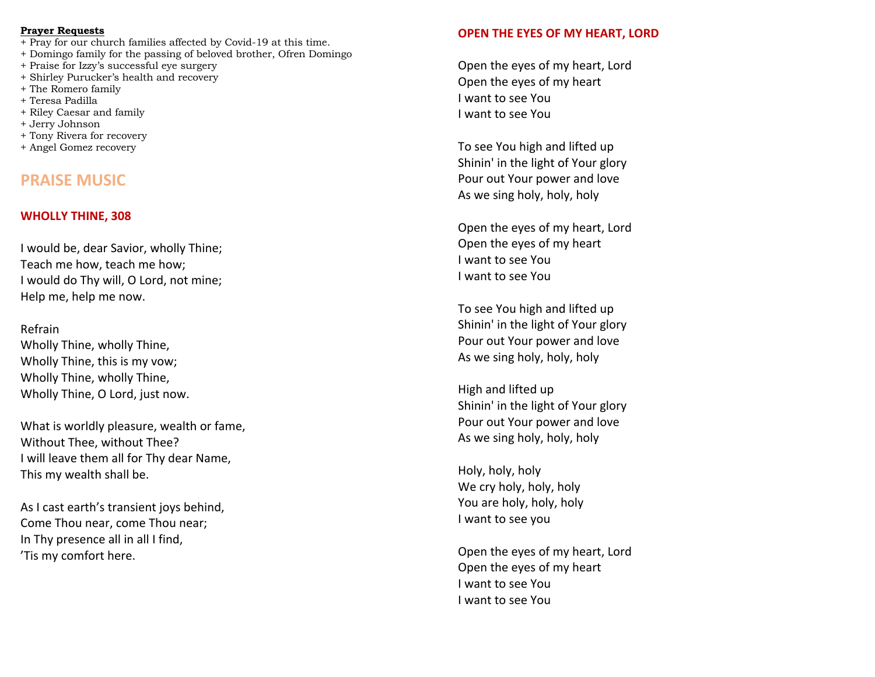#### **Prayer Requests**

+ Pray for our church families affected by Covid-19 at this time.

- + Domingo family for the passing of beloved brother, Ofren Domingo
- + Praise for Izzy's successful eye surgery
- + Shirley Purucker's health and recovery
- + The Romero family
- + Teresa Padilla
- + Riley Caesar and family
- + Jerry Johnson
- + Tony Rivera for recovery
- + Angel Gomez recovery

# **PRAISE MUSIC**

### **WHOLLY THINE, 308**

I would be, dear Savior, wholly Thine; Teach me how, teach me how; I would do Thy will, O Lord, not mine; Help me, help me now.

### Refrain

Wholly Thine, wholly Thine, Wholly Thine, this is my vow; Wholly Thine, wholly Thine, Wholly Thine, O Lord, just now.

What is worldly pleasure, wealth or fame, Without Thee, without Thee? I will leave them all for Thy dear Name, This my wealth shall be.

As I cast earth's transient joys behind, Come Thou near, come Thou near; In Thy presence all in all I find, 'Tis my comfort here.

### **OPEN THE EYES OF MY HEART, LORD**

Open the eyes of my heart, Lord Open the eyes of my heart I want to see You I want to see You

To see You high and lifted up Shinin' in the light of Your glory Pour out Your power and love As we sing holy, holy, holy

Open the eyes of my heart, Lord Open the eyes of my heart I want to see You I want to see You

To see You high and lifted up Shinin' in the light of Your glory Pour out Your power and love As we sing holy, holy, holy

High and lifted up Shinin' in the light of Your glory Pour out Your power and love As we sing holy, holy, holy

Holy, holy, holy We cry holy, holy, holy You are holy, holy, holy I want to see you

Open the eyes of my heart, Lord Open the eyes of my heart I want to see You I want to see You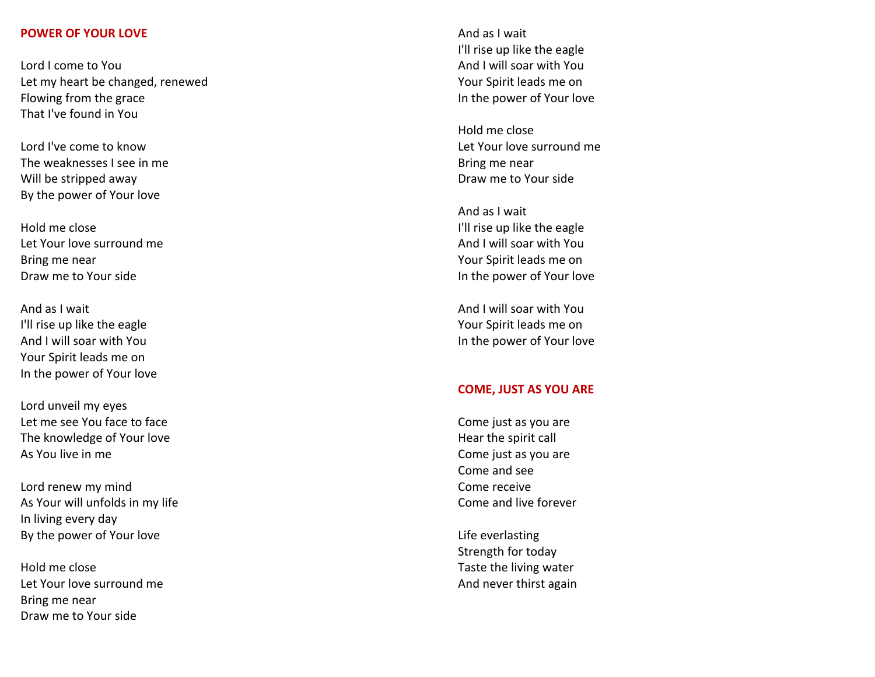#### **POWER OF YOUR LOVE**

Lord I come to You Let my heart be changed, renewed Flowing from the grace That I've found in You

Lord I've come to know The weaknesses I see in me Will be stripped away By the power of Your love

Hold me close Let Your love surround me Bring me near Draw me to Your side

And as I wait I'll rise up like the eagle And I will soar with You Your Spirit leads me on In the power of Your love

Lord unveil my eyes Let me see You face to face The knowledge of Your love As You live in me

Lord renew my mind As Your will unfolds in my life In living every day By the power of Your love

Hold me close Let Your love surround me Bring me near Draw me to Your side

And as I wait I'll rise up like the eagle And I will soar with You Your Spirit leads me on In the power of Your love

Hold me close Let Your love surround me Bring me near Draw me to Your side

And as I wait I'll rise up like the eagle And I will soar with You Your Spirit leads me on In the power of Your love

And I will soar with You Your Spirit leads me on In the power of Your love

### **COME, JUST AS YOU ARE**

Come just as you are Hear the spirit call Come just as you are Come and see Come receive Come and live forever

Life everlasting Strength for today Taste the living water And never thirst again